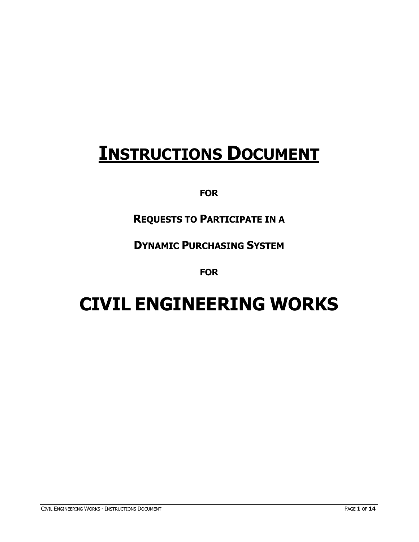# **INSTRUCTIONS DOCUMENT**

### **FOR**

# **REQUESTS TO PARTICIPATE IN A**

### **DYNAMIC PURCHASING SYSTEM**

### **FOR**

# **CIVIL ENGINEERING WORKS**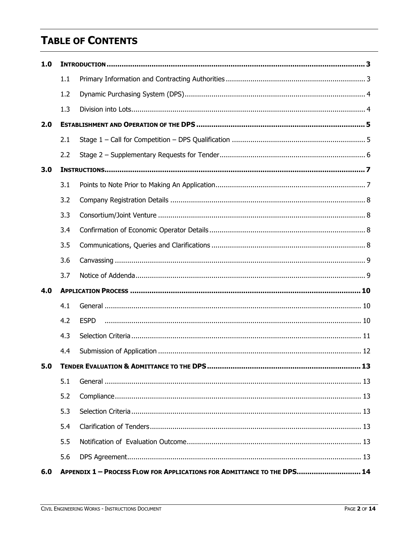# **TABLE OF CONTENTS**

| 1.0 |     |                                                                         |  |  |
|-----|-----|-------------------------------------------------------------------------|--|--|
|     | 1.1 |                                                                         |  |  |
|     | 1.2 |                                                                         |  |  |
|     | 1.3 |                                                                         |  |  |
| 2.0 |     |                                                                         |  |  |
|     | 2.1 |                                                                         |  |  |
|     | 2.2 |                                                                         |  |  |
| 3.0 |     |                                                                         |  |  |
|     | 3.1 |                                                                         |  |  |
|     | 3.2 |                                                                         |  |  |
|     | 3.3 |                                                                         |  |  |
|     | 3.4 |                                                                         |  |  |
|     | 3.5 |                                                                         |  |  |
|     | 3.6 |                                                                         |  |  |
|     | 3.7 |                                                                         |  |  |
| 4.0 |     |                                                                         |  |  |
|     | 4.1 |                                                                         |  |  |
|     | 4.2 | <b>ESPD</b>                                                             |  |  |
|     | 4.3 |                                                                         |  |  |
|     | 4.4 |                                                                         |  |  |
| 5.0 |     |                                                                         |  |  |
|     | 5.1 |                                                                         |  |  |
|     | 5.2 |                                                                         |  |  |
|     | 5.3 |                                                                         |  |  |
|     | 5.4 |                                                                         |  |  |
|     | 5.5 |                                                                         |  |  |
|     | 5.6 |                                                                         |  |  |
| 6.0 |     | APPENDIX 1 - PROCESS FLOW FOR APPLICATIONS FOR ADMITTANCE TO THE DPS 14 |  |  |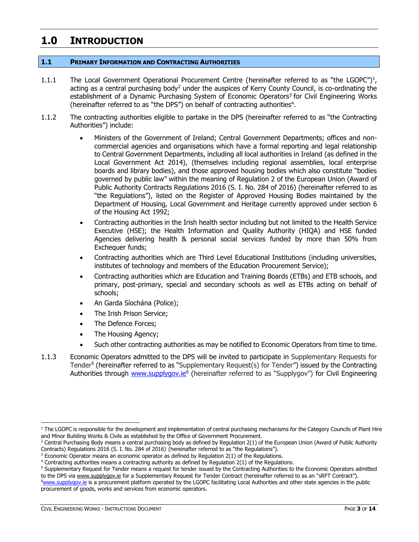### <span id="page-2-0"></span>**1.0 INTRODUCTION**

### <span id="page-2-1"></span>**1.1 PRIMARY INFORMATION AND CONTRACTING AUTHORITIES**

- 1.1.1 The Local Government Operational Procurement Centre (hereinafter referred to as "the LGOPC")<sup>1</sup>, acting as a central purchasing body<sup>2</sup> under the auspices of Kerry County Council, is co-ordinating the establishment of a Dynamic Purchasing System of Economic Operators<sup>3</sup> for Civil Engineering Works (hereinafter referred to as "the DPS") on behalf of contracting authorities<sup>4</sup>.
- 1.1.2 The contracting authorities eligible to partake in the DPS (hereinafter referred to as "the Contracting Authorities") include:
	- Ministers of the Government of Ireland; Central Government Departments; offices and noncommercial agencies and organisations which have a formal reporting and legal relationship to Central Government Departments, including all local authorities in Ireland (as defined in the Local Government Act 2014), (themselves including regional assemblies, local enterprise boards and library bodies), and those approved housing bodies which also constitute "bodies governed by public law" within the meaning of Regulation 2 of the European Union (Award of Public Authority Contracts Regulations 2016 (S. I. No. 284 of 2016) (hereinafter referred to as "the Regulations"), listed on the Register of Approved Housing Bodies maintained by the Department of Housing, Local Government and Heritage currently approved under section 6 of the Housing Act 1992;
	- Contracting authorities in the Irish health sector including but not limited to the Health Service Executive (HSE); the Health Information and Quality Authority (HIQA) and HSE funded Agencies delivering health & personal social services funded by more than 50% from Exchequer funds;
	- Contracting authorities which are Third Level Educational Institutions (including universities, institutes of technology and members of the Education Procurement Service);
	- Contracting authorities which are Education and Training Boards (ETBs) and ETB schools, and primary, post-primary, special and secondary schools as well as ETBs acting on behalf of schools;
	- An Garda Síochána (Police);
	- The Irish Prison Service;
	- The Defence Forces;
	- The Housing Agency;
	- Such other contracting authorities as may be notified to Economic Operators from time to time.
- 1.1.3 Economic Operators admitted to the DPS will be invited to participate in Supplementary Requests for Tender<sup>5</sup> (hereinafter referred to as "Supplementary Request(s) for Tender") issued by the Contracting Authorities through [www.supplygov.ie](http://www.supplygov.ie/)<sup>6</sup> (hereinafter referred to as "Supplygov") for Civil Engineering

  $1$  The LGOPC is responsible for the development and implementation of central purchasing mechanisms for the Category Councils of Plant Hire and Minor Building Works & Civils as established by the Office of Government Procurement.

 $2$  Central Purchasing Body means a central purchasing body as defined by Regulation  $2(1)$  of the European Union (Award of Public Authority Contracts) Regulations 2016 (S. I. No. 284 of 2016) (hereinafter referred to as "the Regulations").

 $3$  Economic Operator means an economic operator as defined by Regulation 2(1) of the Regulations.

<sup>4</sup> Contracting authorities means a contracting authority as defined by Regulation 2(1) of the Regulations.

<sup>5</sup> Supplementary Request for Tender means a request for tender issued by the Contracting Authorities to the Economic Operators admitted to the DPS vi[a www.supplygov.ie](http://www.supplygov.ie/) for a Supplementary Request for Tender Contract (hereinafter referred to as an "sRFT Contract"). <sup>6</sup>[www.supplygov.i](http://www.supplygov/)e is a procurement platform operated by the LGOPC facilitating Local Authorities and other state agencies in the public procurement of goods, works and services from economic operators.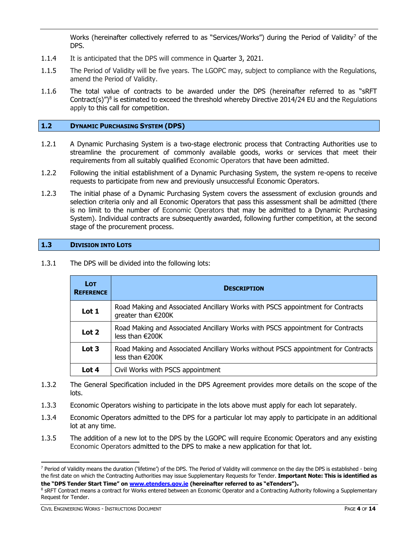Works (hereinafter collectively referred to as "Services/Works") during the Period of Validity<sup>7</sup> of the DPS.

- 1.1.4 It is anticipated that the DPS will commence in Quarter 3, 2021.
- 1.1.5 The Period of Validity will be five years. The LGOPC may, subject to compliance with the Regulations, amend the Period of Validity.
- 1.1.6 The total value of contracts to be awarded under the DPS (hereinafter referred to as "sRFT Contract(s)")<sup>8</sup> is estimated to exceed the threshold whereby Directive 2014/24 EU and the Regulations apply to this call for competition.

### <span id="page-3-0"></span>**1.2 DYNAMIC PURCHASING SYSTEM (DPS)**

- 1.2.1 A Dynamic Purchasing System is a two-stage electronic process that Contracting Authorities use to streamline the procurement of commonly available goods, works or services that meet their requirements from all suitably qualified Economic Operators that have been admitted.
- 1.2.2 Following the initial establishment of a Dynamic Purchasing System, the system re-opens to receive requests to participate from new and previously unsuccessful Economic Operators.
- 1.2.3 The initial phase of a Dynamic Purchasing System covers the assessment of exclusion grounds and selection criteria only and all Economic Operators that pass this assessment shall be admitted (there is no limit to the number of Economic Operators that may be admitted to a Dynamic Purchasing System). Individual contracts are subsequently awarded, following further competition, at the second stage of the procurement process.

### <span id="page-3-1"></span>**1.3 DIVISION INTO LOTS**

| 1.3.1 |  |  |  |  | The DPS will be divided into the following lots: |  |
|-------|--|--|--|--|--------------------------------------------------|--|
|-------|--|--|--|--|--------------------------------------------------|--|

| <b>LOT</b><br><b>REFERENCE</b> | <b>DESCRIPTION</b>                                                                                             |
|--------------------------------|----------------------------------------------------------------------------------------------------------------|
| Lot 1                          | Road Making and Associated Ancillary Works with PSCS appointment for Contracts<br>greater than €200K           |
| Lot 2                          | Road Making and Associated Ancillary Works with PSCS appointment for Contracts<br>less than $\epsilon$ 200K    |
| Lot <sub>3</sub>               | Road Making and Associated Ancillary Works without PSCS appointment for Contracts<br>less than $\epsilon$ 200K |
| Lot 4                          | Civil Works with PSCS appointment                                                                              |

- 1.3.2 The General Specification included in the DPS Agreement provides more details on the scope of the lots.
- 1.3.3 Economic Operators wishing to participate in the lots above must apply for each lot separately.
- 1.3.4 Economic Operators admitted to the DPS for a particular lot may apply to participate in an additional lot at any time.
- 1.3.5 The addition of a new lot to the DPS by the LGOPC will require Economic Operators and any existing Economic Operators admitted to the DPS to make a new application for that lot.

-

<sup>&</sup>lt;sup>7</sup> Period of Validity means the duration ('lifetime') of the DPS. The Period of Validity will commence on the day the DPS is established - being the first date on which the Contracting Authorities may issue Supplementary Requests for Tender. **Important Note: This is identified as the "DPS Tender Start Time" on [www.etenders.gov.ie](http://www.etenders.gov.ie/) (hereinafter referred to as "eTenders").**

<sup>&</sup>lt;sup>8</sup> sRFT Contract means a contract for Works entered between an Economic Operator and a Contracting Authority following a Supplementary Request for Tender.

CIVIL ENGINEERING WORKS - INSTRUCTIONS DOCUMENT **And CONTACT CONTACT CONTACT CONTACT CONTACT CONTACT CONTACT CONTACT CONTACT CONTACT CONTACT CONTACT CONTACT CONTACT CONTACT CONTACT CONTACT CONTACT CONTACT CONTACT CONTACT C**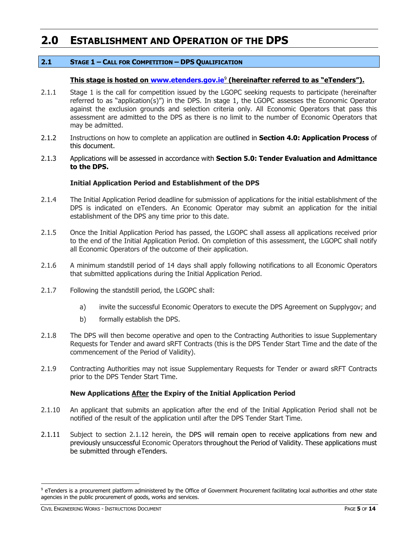### <span id="page-4-0"></span>**2.0 ESTABLISHMENT AND OPERATION OF THE DPS**

### <span id="page-4-1"></span>**2.1 STAGE 1 – CALL FOR COMPETITION – DPS QUALIFICATION**

### **This stage is hosted on [www.etenders.gov.ie](http://www.etenders.gov.ie/)**<sup>9</sup> **(hereinafter referred to as "eTenders").**

- 2.1.1 Stage 1 is the call for competition issued by the LGOPC seeking requests to participate (hereinafter referred to as "application(s)") in the DPS. In stage 1, the LGOPC assesses the Economic Operator against the exclusion grounds and selection criteria only. All Economic Operators that pass this assessment are admitted to the DPS as there is no limit to the number of Economic Operators that may be admitted.
- 2.1.2 Instructions on how to complete an application are outlined in **Section 4.0: Application Process** of this document.
- 2.1.3 Applications will be assessed in accordance with **Section 5.0: Tender Evaluation and Admittance to the DPS.**

### **Initial Application Period and Establishment of the DPS**

- 2.1.4 The Initial Application Period deadline for submission of applications for the initial establishment of the DPS is indicated on eTenders. An Economic Operator may submit an application for the initial establishment of the DPS any time prior to this date.
- 2.1.5 Once the Initial Application Period has passed, the LGOPC shall assess all applications received prior to the end of the Initial Application Period. On completion of this assessment, the LGOPC shall notify all Economic Operators of the outcome of their application.
- 2.1.6 A minimum standstill period of 14 days shall apply following notifications to all Economic Operators that submitted applications during the Initial Application Period.
- 2.1.7 Following the standstill period, the LGOPC shall:
	- a) invite the successful Economic Operators to execute the DPS Agreement on Supplygov; and
	- b) formally establish the DPS.
- 2.1.8 The DPS will then become operative and open to the Contracting Authorities to issue Supplementary Requests for Tender and award sRFT Contracts (this is the DPS Tender Start Time and the date of the commencement of the Period of Validity).
- 2.1.9 Contracting Authorities may not issue Supplementary Requests for Tender or award sRFT Contracts prior to the DPS Tender Start Time.

### **New Applications After the Expiry of the Initial Application Period**

- 2.1.10 An applicant that submits an application after the end of the Initial Application Period shall not be notified of the result of the application until after the DPS Tender Start Time.
- 2.1.11 Subject to section 2.1.12 herein, the DPS will remain open to receive applications from new and previously unsuccessful Economic Operators throughout the Period of Validity. These applications must be submitted through eTenders.

-

<sup>9</sup> eTenders is a procurement platform administered by the Office of Government Procurement facilitating local authorities and other state agencies in the public procurement of goods, works and services.

CIVIL ENGINEERING WORKS - INSTRUCTIONS DOCUMENT PAGE **5** OF **14**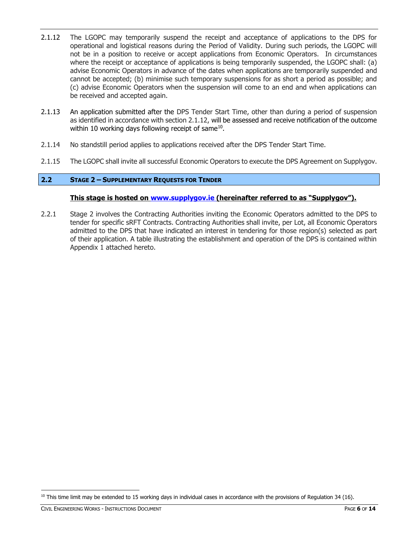- 2.1.12 The LGOPC may temporarily suspend the receipt and acceptance of applications to the DPS for operational and logistical reasons during the Period of Validity. During such periods, the LGOPC will not be in a position to receive or accept applications from Economic Operators. In circumstances where the receipt or acceptance of applications is being temporarily suspended, the LGOPC shall: (a) advise Economic Operators in advance of the dates when applications are temporarily suspended and cannot be accepted; (b) minimise such temporary suspensions for as short a period as possible; and (c) advise Economic Operators when the suspension will come to an end and when applications can be received and accepted again.
- 2.1.13 An application submitted after the DPS Tender Start Time, other than during a period of suspension as identified in accordance with section 2.1.12, will be assessed and receive notification of the outcome within 10 working days following receipt of same $^{10}$ .
- 2.1.14 No standstill period applies to applications received after the DPS Tender Start Time.
- 2.1.15 The LGOPC shall invite all successful Economic Operators to execute the DPS Agreement on Supplygov.

### <span id="page-5-0"></span>**2.2 STAGE 2 – SUPPLEMENTARY REQUESTS FOR TENDER**

### **This stage is hosted on [www.supplygov.ie](http://www.supplygov.ie/) (hereinafter referred to as "Supplygov").**

2.2.1 Stage 2 involves the Contracting Authorities inviting the Economic Operators admitted to the DPS to tender for specific sRFT Contracts. Contracting Authorities shall invite, per Lot, all Economic Operators admitted to the DPS that have indicated an interest in tendering for those region(s) selected as part of their application. A table illustrating the establishment and operation of the DPS is contained within Appendix 1 attached hereto.

  $10$  This time limit may be extended to 15 working days in individual cases in accordance with the provisions of Regulation 34 (16).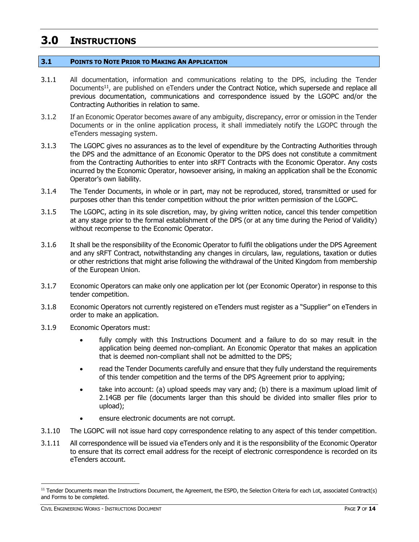### <span id="page-6-0"></span>**3.0 INSTRUCTIONS**

### <span id="page-6-1"></span>**3.1 POINTS TO NOTE PRIOR TO MAKING AN APPLICATION**

- 3.1.1 All documentation, information and communications relating to the DPS, including the Tender Documents<sup>11</sup>, are published on eTenders under the Contract Notice, which supersede and replace all previous documentation, communications and correspondence issued by the LGOPC and/or the Contracting Authorities in relation to same.
- 3.1.2 If an Economic Operator becomes aware of any ambiguity, discrepancy, error or omission in the Tender Documents or in the online application process, it shall immediately notify the LGOPC through the eTenders messaging system.
- 3.1.3 The LGOPC gives no assurances as to the level of expenditure by the Contracting Authorities through the DPS and the admittance of an Economic Operator to the DPS does not constitute a commitment from the Contracting Authorities to enter into sRFT Contracts with the Economic Operator. Any costs incurred by the Economic Operator, howsoever arising, in making an application shall be the Economic Operator's own liability.
- 3.1.4 The Tender Documents, in whole or in part, may not be reproduced, stored, transmitted or used for purposes other than this tender competition without the prior written permission of the LGOPC.
- 3.1.5 The LGOPC, acting in its sole discretion, may, by giving written notice, cancel this tender competition at any stage prior to the formal establishment of the DPS (or at any time during the Period of Validity) without recompense to the Economic Operator.
- 3.1.6 It shall be the responsibility of the Economic Operator to fulfil the obligations under the DPS Agreement and any sRFT Contract, notwithstanding any changes in circulars, law, regulations, taxation or duties or other restrictions that might arise following the withdrawal of the United Kingdom from membership of the European Union.
- 3.1.7 Economic Operators can make only one application per lot (per Economic Operator) in response to this tender competition.
- 3.1.8 Economic Operators not currently registered on eTenders must register as a "Supplier" on eTenders in order to make an application.
- 3.1.9 Economic Operators must:
	- fully comply with this Instructions Document and a failure to do so may result in the application being deemed non-compliant. An Economic Operator that makes an application that is deemed non-compliant shall not be admitted to the DPS;
	- read the Tender Documents carefully and ensure that they fully understand the requirements of this tender competition and the terms of the DPS Agreement prior to applying;
	- take into account: (a) upload speeds may vary and; (b) there is a maximum upload limit of 2.14GB per file (documents larger than this should be divided into smaller files prior to upload);
	- ensure electronic documents are not corrupt.
- 3.1.10 The LGOPC will not issue hard copy correspondence relating to any aspect of this tender competition.
- 3.1.11 All correspondence will be issued via eTenders only and it is the responsibility of the Economic Operator to ensure that its correct email address for the receipt of electronic correspondence is recorded on its eTenders account.

-

<sup>&</sup>lt;sup>11</sup> Tender Documents mean the Instructions Document, the Agreement, the ESPD, the Selection Criteria for each Lot, associated Contract(s) and Forms to be completed.

CIVIL ENGINEERING WORKS - INSTRUCTIONS DOCUMENT PAGE **7** OF **14**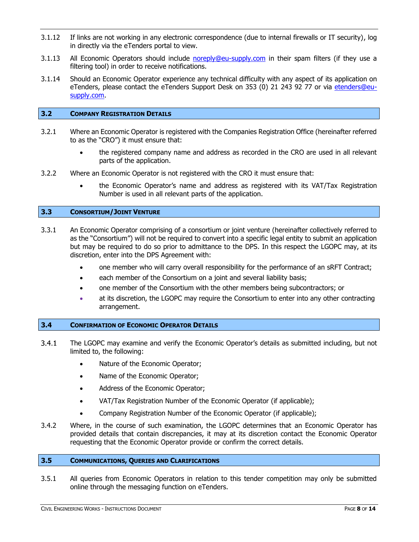- 3.1.12 If links are not working in any electronic correspondence (due to internal firewalls or IT security), log in directly via the eTenders portal to view.
- 3.1.13 All Economic Operators should include [noreply@eu-supply.com](mailto:noreply@eu-supply.com) in their spam filters (if they use a filtering tool) in order to receive notifications.
- 3.1.14 Should an Economic Operator experience any technical difficulty with any aspect of its application on eTenders, please contact the eTenders Support Desk on 353 (0) 21 243 92 77 or via etenders@eusupply.com.

### <span id="page-7-0"></span>**3.2 COMPANY REGISTRATION DETAILS**

- 3.2.1 Where an Economic Operator is registered with the Companies Registration Office (hereinafter referred to as the "CRO") it must ensure that:
	- the registered company name and address as recorded in the CRO are used in all relevant parts of the application.
- 3.2.2 Where an Economic Operator is not registered with the CRO it must ensure that:
	- the Economic Operator's name and address as registered with its VAT/Tax Registration Number is used in all relevant parts of the application.

### <span id="page-7-1"></span>**3.3 CONSORTIUM/JOINT VENTURE**

- 3.3.1 An Economic Operator comprising of a consortium or joint venture (hereinafter collectively referred to as the "Consortium") will not be required to convert into a specific legal entity to submit an application but may be required to do so prior to admittance to the DPS. In this respect the LGOPC may, at its discretion, enter into the DPS Agreement with:
	- one member who will carry overall responsibility for the performance of an sRFT Contract;
	- each member of the Consortium on a joint and several liability basis;
	- one member of the Consortium with the other members being subcontractors; or
	- at its discretion, the LGOPC may require the Consortium to enter into any other contracting arrangement.

#### <span id="page-7-2"></span>**3.4 CONFIRMATION OF ECONOMIC OPERATOR DETAILS**

- $3.4.1$ The LGOPC may examine and verify the Economic Operator's details as submitted including, but not limited to, the following:
	- Nature of the Economic Operator;
	- Name of the Economic Operator;
	- Address of the Economic Operator;
	- VAT/Tax Registration Number of the Economic Operator (if applicable);
	- Company Registration Number of the Economic Operator (if applicable);
- 3.4.2 Where, in the course of such examination, the LGOPC determines that an Economic Operator has provided details that contain discrepancies, it may at its discretion contact the Economic Operator requesting that the Economic Operator provide or confirm the correct details.

### <span id="page-7-3"></span>**3.5 COMMUNICATIONS, QUERIES AND CLARIFICATIONS**

3.5.1 All queries from Economic Operators in relation to this tender competition may only be submitted online through the messaging function on eTenders.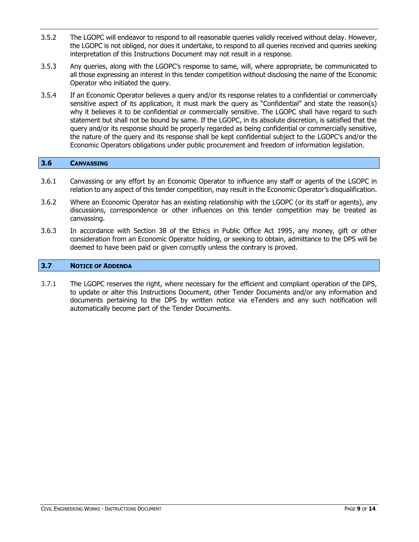- 3.5.2 The LGOPC will endeavor to respond to all reasonable queries validly received without delay. However, the LGOPC is not obliged, nor does it undertake, to respond to all queries received and queries seeking interpretation of this Instructions Document may not result in a response.
- 3.5.3 Any queries, along with the LGOPC's response to same, will, where appropriate, be communicated to all those expressing an interest in this tender competition without disclosing the name of the Economic Operator who initiated the query.
- 3.5.4 If an Economic Operator believes a query and/or its response relates to a confidential or commercially sensitive aspect of its application, it must mark the query as "Confidential" and state the reason(s) why it believes it to be confidential or commercially sensitive. The LGOPC shall have regard to such statement but shall not be bound by same. If the LGOPC, in its absolute discretion, is satisfied that the query and/or its response should be properly regarded as being confidential or commercially sensitive, the nature of the query and its response shall be kept confidential subject to the LGOPC's and/or the Economic Operators obligations under public procurement and freedom of information legislation.

### <span id="page-8-0"></span>**3.6 CANVASSING**

- 3.6.1 Canvassing or any effort by an Economic Operator to influence any staff or agents of the LGOPC in relation to any aspect of this tender competition, may result in the Economic Operator's disqualification.
- 3.6.2 Where an Economic Operator has an existing relationship with the LGOPC (or its staff or agents), any discussions, correspondence or other influences on this tender competition may be treated as canvassing.
- 3.6.3 In accordance with Section 38 of the Ethics in Public Office Act 1995, any money, gift or other consideration from an Economic Operator holding, or seeking to obtain, admittance to the DPS will be deemed to have been paid or given corruptly unless the contrary is proved.

### <span id="page-8-1"></span>**3.7 NOTICE OF ADDENDA**

3.7.1 The LGOPC reserves the right, where necessary for the efficient and compliant operation of the DPS, to update or alter this Instructions Document, other Tender Documents and/or any information and documents pertaining to the DPS by written notice via eTenders and any such notification will automatically become part of the Tender Documents.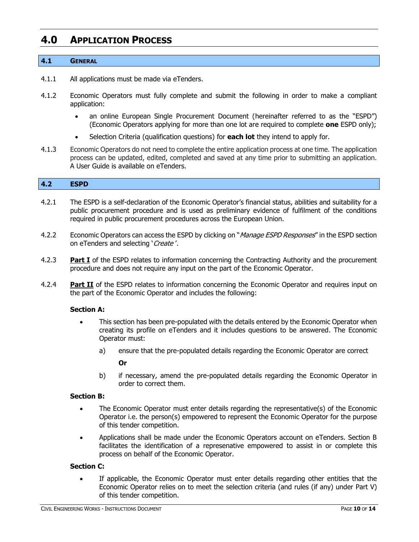### <span id="page-9-0"></span>**4.0 APPLICATION PROCESS**

### <span id="page-9-1"></span>**4.1 GENERAL**

- 4.1.1 All applications must be made via eTenders.
- 4.1.2 Economic Operators must fully complete and submit the following in order to make a compliant application:
	- an online European Single Procurement Document (hereinafter referred to as the "ESPD") (Economic Operators applying for more than one lot are required to complete **one** ESPD only);
	- Selection Criteria (qualification questions) for **each lot** they intend to apply for.
- 4.1.3 Economic Operators do not need to complete the entire application process at one time. The application process can be updated, edited, completed and saved at any time prior to submitting an application. A User Guide is available on eTenders.

### <span id="page-9-2"></span>**4.2 ESPD**

- 4.2.1 The ESPD is a self-declaration of the Economic Operator's financial status, abilities and suitability for a public procurement procedure and is used as preliminary evidence of fulfilment of the conditions required in public procurement procedures across the European Union.
- 4.2.2 Economic Operators can access the ESPD by clicking on "*Manage ESPD Responses*" in the ESPD section on eTenders and selecting 'Create'.
- 4.2.3 **Part I** of the ESPD relates to information concerning the Contracting Authority and the procurement procedure and does not require any input on the part of the Economic Operator.
- 4.2.4 **Part II** of the ESPD relates to information concerning the Economic Operator and requires input on the part of the Economic Operator and includes the following:

#### **Section A:**

- This section has been pre-populated with the details entered by the Economic Operator when creating its profile on eTenders and it includes questions to be answered. The Economic Operator must:
	- a) ensure that the pre-populated details regarding the Economic Operator are correct

### **Or**

b) if necessary, amend the pre-populated details regarding the Economic Operator in order to correct them.

### **Section B:**

- The Economic Operator must enter details regarding the representative(s) of the Economic Operator i.e. the person(s) empowered to represent the Economic Operator for the purpose of this tender competition.
- Applications shall be made under the Economic Operators account on eTenders. Section B facilitates the identification of a represenative empowered to assist in or complete this process on behalf of the Economic Operator.

#### **Section C:**

 If applicable, the Economic Operator must enter details regarding other entities that the Economic Operator relies on to meet the selection criteria (and rules (if any) under Part V) of this tender competition.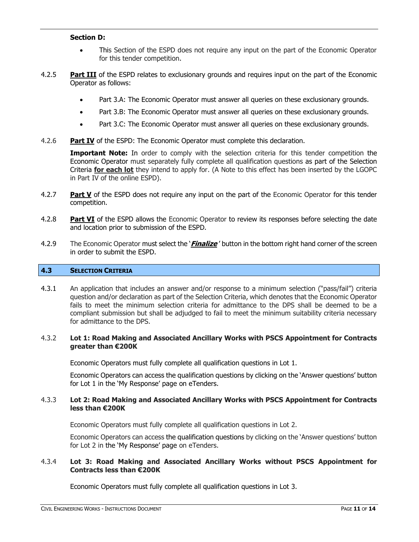#### **Section D:**

- This Section of the ESPD does not require any input on the part of the Economic Operator for this tender competition.
- 4.2.5 **Part III** of the ESPD relates to exclusionary grounds and requires input on the part of the Economic Operator as follows:
	- Part 3.A: The Economic Operator must answer all queries on these exclusionary grounds.
	- Part 3.B: The Economic Operator must answer all queries on these exclusionary grounds.
	- Part 3.C: The Economic Operator must answer all queries on these exclusionary grounds.
- 4.2.6 **Part IV** of the ESPD: The Economic Operator must complete this declaration.

**Important Note:** In order to comply with the selection criteria for this tender competition the Economic Operator must separately fully complete all qualification questions as part of the Selection Criteria **for each lot** they intend to apply for. (A Note to this effect has been inserted by the LGOPC in Part IV of the online ESPD).

- 4.2.7 **Part V** of the ESPD does not require any input on the part of the Economic Operator for this tender competition.
- 4.2.8 **Part VI** of the ESPD allows the Economic Operator to review its responses before selecting the date and location prior to submission of the ESPD.
- 4.2.9 The Economic Operator must select the '**Finalize** ' button in the bottom right hand corner of the screen in order to submit the ESPD.

### <span id="page-10-0"></span>**4.3 SELECTION CRITERIA**

4.3.1 An application that includes an answer and/or response to a minimum selection ("pass/fail") criteria question and/or declaration as part of the Selection Criteria, which denotes that the Economic Operator fails to meet the minimum selection criteria for admittance to the DPS shall be deemed to be a compliant submission but shall be adjudged to fail to meet the minimum suitability criteria necessary for admittance to the DPS.

### 4.3.2 **Lot 1: Road Making and Associated Ancillary Works with PSCS Appointment for Contracts greater than €200K**

Economic Operators must fully complete all qualification questions in Lot 1.

Economic Operators can access the qualification questions by clicking on the 'Answer questions' button for Lot 1 in the 'My Response' page on eTenders.

### 4.3.3 **Lot 2: Road Making and Associated Ancillary Works with PSCS Appointment for Contracts less than €200K**

Economic Operators must fully complete all qualification questions in Lot 2.

Economic Operators can access the qualification questions by clicking on the 'Answer questions' button for Lot 2 in the 'My Response' page on eTenders.

### 4.3.4 **Lot 3: Road Making and Associated Ancillary Works without PSCS Appointment for Contracts less than €200K**

Economic Operators must fully complete all qualification questions in Lot 3.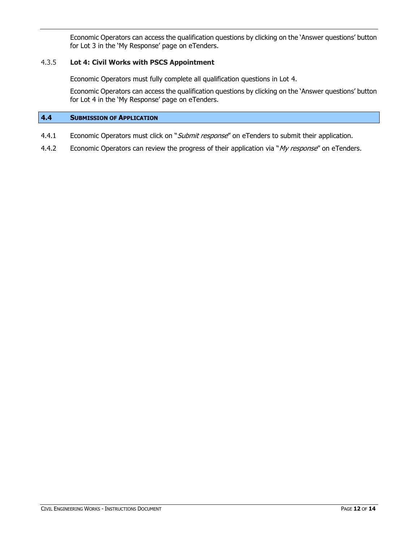Economic Operators can access the qualification questions by clicking on the 'Answer questions' button for Lot 3 in the 'My Response' page on eTenders.

### 4.3.5 **Lot 4: Civil Works with PSCS Appointment**

Economic Operators must fully complete all qualification questions in Lot 4.

Economic Operators can access the qualification questions by clicking on the 'Answer questions' button for Lot 4 in the 'My Response' page on eTenders.

### <span id="page-11-0"></span>**4.4 SUBMISSION OF APPLICATION**

- 4.4.1 Economic Operators must click on "Submit response" on eTenders to submit their application.
- 4.4.2 Economic Operators can review the progress of their application via "My response" on [eTenders.](http://www.etenders.gov.ie/)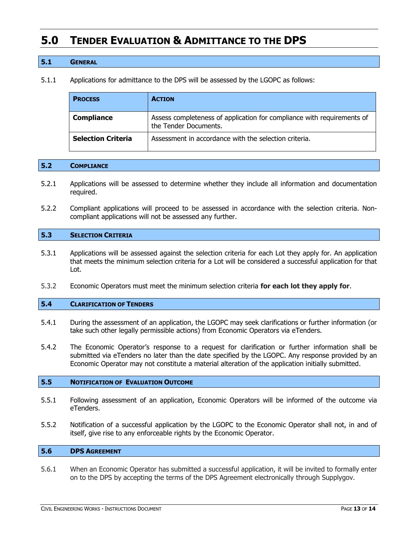### <span id="page-12-0"></span>**5.0 TENDER EVALUATION & ADMITTANCE TO THE DPS**

### <span id="page-12-1"></span>**5.1 GENERAL**

5.1.1 Applications for admittance to the DPS will be assessed by the LGOPC as follows:

| <b>PROCESS</b>            | <b>ACTION</b>                                                                                   |
|---------------------------|-------------------------------------------------------------------------------------------------|
| <b>Compliance</b>         | Assess completeness of application for compliance with requirements of<br>the Tender Documents. |
| <b>Selection Criteria</b> | Assessment in accordance with the selection criteria.                                           |

#### <span id="page-12-2"></span>**5.2 COMPLIANCE**

- 5.2.1 Applications will be assessed to determine whether they include all information and documentation required.
- 5.2.2 Compliant applications will proceed to be assessed in accordance with the selection criteria. Noncompliant applications will not be assessed any further.

### <span id="page-12-3"></span>**5.3 SELECTION CRITERIA**

- 5.3.1 Applications will be assessed against the selection criteria for each Lot they apply for. An application that meets the minimum selection criteria for a Lot will be considered a successful application for that Lot.
- 5.3.2 Economic Operators must meet the minimum selection criteria **for each lot they apply for**.

### <span id="page-12-4"></span>**5.4 CLARIFICATION OF TENDERS**

- 5.4.1 During the assessment of an application, the LGOPC may seek clarifications or further information (or take such other legally permissible actions) from Economic Operators via eTenders.
- 5.4.2 The Economic Operator's response to a request for clarification or further information shall be submitted via eTenders no later than the date specified by the LGOPC. Any response provided by an Economic Operator may not constitute a material alteration of the application initially submitted.

#### <span id="page-12-5"></span>**5.5 NOTIFICATION OF EVALUATION OUTCOME**

- 5.5.1 Following assessment of an application, Economic Operators will be informed of the outcome via eTenders.
- 5.5.2 Notification of a successful application by the LGOPC to the Economic Operator shall not, in and of itself, give rise to any enforceable rights by the Economic Operator.

### <span id="page-12-6"></span>**5.6 DPS AGREEMENT**

5.6.1 When an Economic Operator has submitted a successful application, it will be invited to formally enter on to the DPS by accepting the terms of the DPS Agreement electronically through Supplygov.